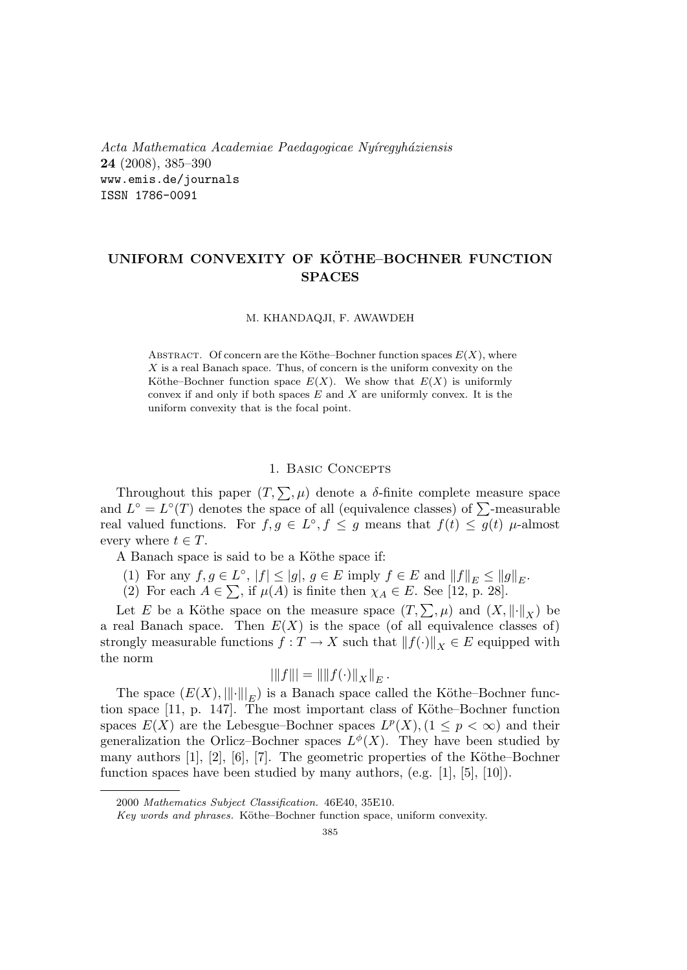Acta Mathematica Academiae Paedagogicae Nyíregyháziensis 24 (2008), 385–390 www.emis.de/journals ISSN 1786-0091

# UNIFORM CONVEXITY OF KOTHE–BOCHNER FUNCTION ¨ **SPACES**

### M. KHANDAQJI, F. AWAWDEH

ABSTRACT. Of concern are the Köthe–Bochner function spaces  $E(X)$ , where  $X$  is a real Banach space. Thus, of concern is the uniform convexity on the Köthe–Bochner function space  $E(X)$ . We show that  $E(X)$  is uniformly convex if and only if both spaces  $E$  and  $X$  are uniformly convex. It is the uniform convexity that is the focal point.

## 1. Basic Concepts

Throughout this paper  $(T, \sum, \mu)$  denote a  $\delta$ -finite complete measure space I infoughout this paper  $(1, \sum, \mu)$  denote a *o*-influe complete measure space<br>and  $L^{\circ} = L^{\circ}(T)$  denotes the space of all (equivalence classes) of  $\sum$ -measurable real valued functions. For  $f, g \in L^{\circ}, f \leq g$  means that  $f(t) \leq g(t)$   $\mu$ -almost every where  $t \in T$ .

A Banach space is said to be a Köthe space if:

- (1) For any  $f, g \in L^{\circ}$ ,  $|f| \leq |g|$ ,  $g \in E$  imply  $f \in E$  and  $||f||_E \leq ||g||_E$ .
- (1) For any  $f, g \in L$ ,  $|f| \le |g|$ ,  $g \in L$  imply  $f \in L$  and  $||f||_E \le ||g||$ <br>(2) For each  $A \in \sum$ , if  $\mu(A)$  is finite then  $\chi_A \in E$ . See [12, p. 28].

Let E be a Köthe space on the measure space  $(T, \sum, \mu)$  and  $(X, \|\cdot\|_X)$  be a real Banach space. Then  $E(X)$  is the space (of all equivalence classes of) strongly measurable functions  $f: T \to X$  such that  $||f(\cdot)||_X \in E$  equipped with the norm  $\frac{1}{k}$  = kk  $\frac{1}{k}$  = kk/kk  $\frac{1}{k}$  = kk/kk  $\frac{1}{k}$  = kk/kk  $\frac{1}{k}$  = kk/kk  $\frac{1}{k}$  = kk/kk  $\frac{1}{k}$  = kk/kk  $\frac{1}{k}$  = kk/kk/kk  $\frac{1}{k}$  = kk/kk/kk  $\frac{1}{k}$  = kk/kk/kk  $\frac{1}{k}$  = kk/kk/kk  $\frac{1}{k}$  = kk

$$
|||f||| = ||||f(\cdot)||_X||_E.
$$

The space  $(E(X),\|\cdot\|_{E})$  is a Banach space called the Köthe–Bochner function space  $[11, p. 147]$ . The most important class of Köthe–Bochner function spaces  $E(X)$  are the Lebesgue–Bochner spaces  $L^p(X)$ ,  $(1 \leq p < \infty)$  and their generalization the Orlicz-Bochner spaces  $L^{\phi}(X)$ . They have been studied by many authors  $[1], [2], [6], [7]$ . The geometric properties of the Köthe–Bochner function spaces have been studied by many authors, (e.g. [1], [5], [10]).

<sup>2000</sup> Mathematics Subject Classification. 46E40, 35E10.

Key words and phrases. Köthe–Bochner function space, uniform convexity.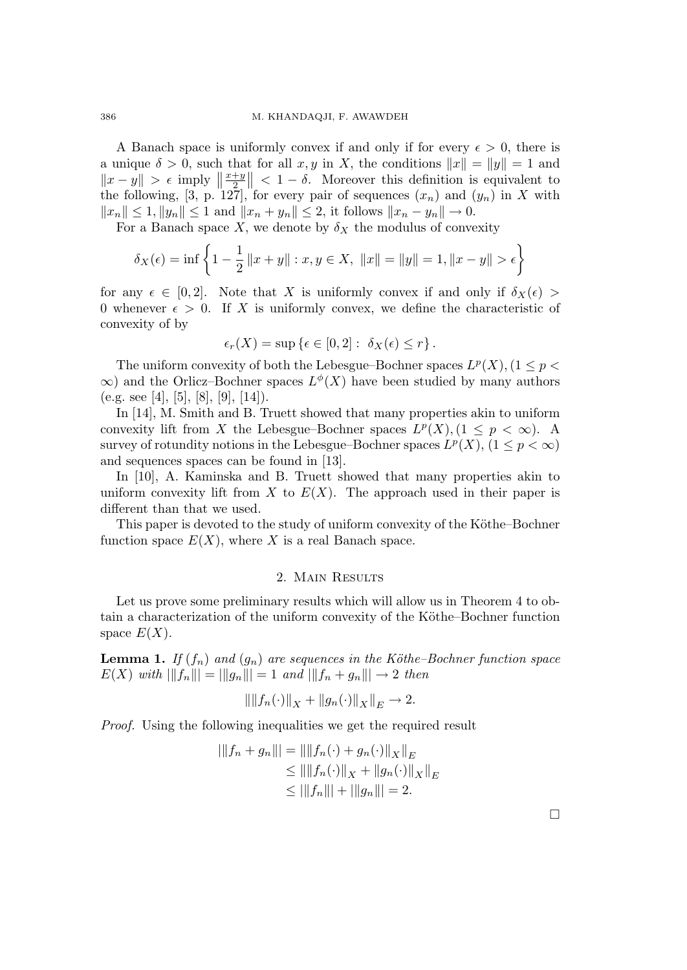A Banach space is uniformly convex if and only if for every  $\epsilon > 0$ , there is a unique  $\delta > 0$ , such that for all  $x, y$  in X, the conditions  $||x|| = ||y|| = 1$  and  $||x-y|| > \epsilon$  imply  $||\frac{x+y}{2}|| < 1-\delta$ . Moreover this definition is equivalent to the following, [3, p. 127], for every pair of sequences  $(x_n)$  and  $(y_n)$  in X with  $||x_n|| \leq 1, ||y_n|| \leq 1$  and  $||x_n + y_n|| \leq 2$ , it follows  $||x_n - y_n|| \to 0$ .

For a Banach space X, we denote by  $\delta_X$  the modulus of convexity

$$
\delta_X(\epsilon) = \inf \left\{ 1 - \frac{1}{2} ||x + y|| : x, y \in X, ||x|| = ||y|| = 1, ||x - y|| > \epsilon \right\}
$$

for any  $\epsilon \in [0, 2]$ . Note that X is uniformly convex if and only if  $\delta_X(\epsilon)$ 0 whenever  $\epsilon > 0$ . If X is uniformly convex, we define the characteristic of convexity of by

$$
\epsilon_r(X) = \sup \{\epsilon \in [0,2]: \ \delta_X(\epsilon) \le r\}.
$$

The uniform convexity of both the Lebesgue–Bochner spaces  $L^p(X)$ ,  $(1 \leq p <$  $\infty$ ) and the Orlicz–Bochner spaces  $L^{\phi}(X)$  have been studied by many authors (e.g. see [4], [5], [8], [9], [14]).

In [14], M. Smith and B. Truett showed that many properties akin to uniform convexity lift from X the Lebesgue–Bochner spaces  $L^p(X)$ ,  $(1 \leq p < \infty)$ . A survey of rotundity notions in the Lebesgue–Bochner spaces  $L^p(X)$ ,  $(1 \leq p < \infty)$ and sequences spaces can be found in [13].

In [10], A. Kaminska and B. Truett showed that many properties akin to uniform convexity lift from X to  $E(X)$ . The approach used in their paper is different than that we used.

This paper is devoted to the study of uniform convexity of the Köthe–Bochner function space  $E(X)$ , where X is a real Banach space.

## 2. Main Results

Let us prove some preliminary results which will allow us in Theorem 4 to obtain a characterization of the uniform convexity of the Köthe–Bochner function space  $E(X)$ .

**Lemma 1.** If  $(f_n)$  and  $(g_n)$  are sequences in the Köthe–Bochner function space  $E(X)$  with  $||f_n|| = ||g_n|| = 1$  and  $||f_n + g_n|| \to 2$  then

$$
\left\|\|f_n(\cdot)\|_X+\|g_n(\cdot)\|_X\right\|_E\to 2.
$$

Proof. Using the following inequalities we get the required result

$$
|||f_n + g_n||| = ||||f_n(\cdot) + g_n(\cdot)||_X||_E
$$
  
\n
$$
\leq |||f_n(\cdot)||_X + ||g_n(\cdot)||_X||_E
$$
  
\n
$$
\leq |||f_n||| + ||g_n||| = 2.
$$

¤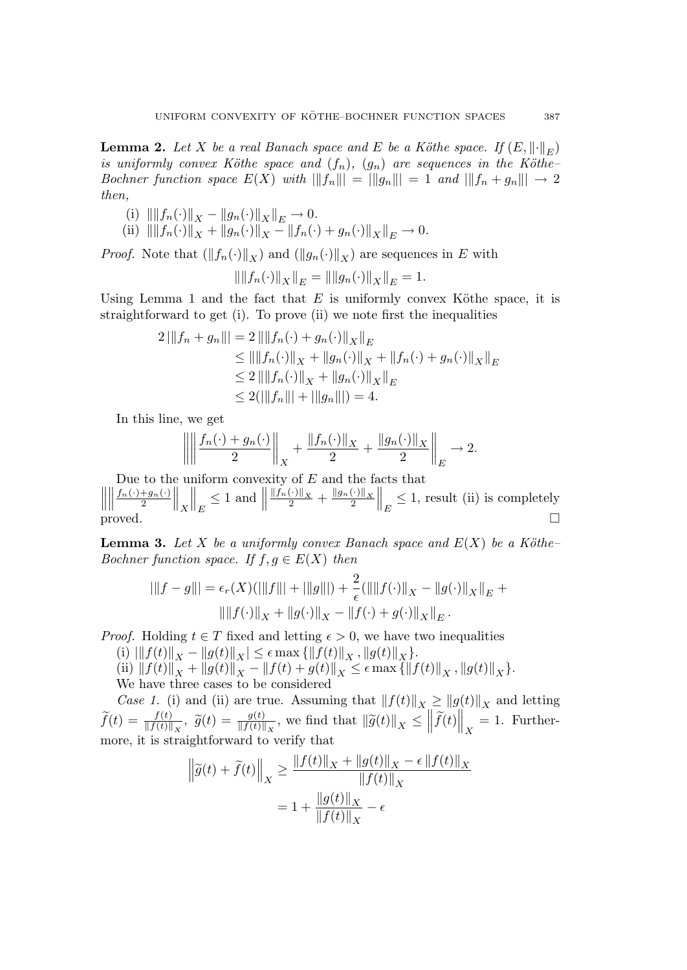**Lemma 2.** Let X be a real Banach space and E be a Köthe space. If  $(E, \|\cdot\|_E)$ is uniformly convex Köthe space and  $(f_n)$ ,  $(g_n)$  are sequences in the Köthe– Bochner function space  $E(X)$  with  $||f_n|| = ||g_n||| = 1$  and  $||f_n + g_n|| \to 2$ then,

- (i)  $\| \|f_n(\cdot)\|_X \|g_n(\cdot)\|_X\|_E \to 0.$
- (ii)  $\| \|f_n(\cdot)\|_X + \|g_n(\cdot)\|_X \|f_n(\cdot) + g_n(\cdot)\|_X\|_E \to 0.$

*Proof.* Note that  $(\Vert f_n(\cdot) \Vert_X)$  and  $(\Vert g_n(\cdot) \Vert_X)$  are sequences in E with

$$
\| \|f_n(\cdot)\|_X\|_E = \| \|g_n(\cdot)\|_X\|_E = 1.
$$

Using Lemma 1 and the fact that  $E$  is uniformly convex Köthe space, it is straightforward to get (i). To prove (ii) we note first the inequalities

$$
2 \left| \|f_n + g_n\| \right| = 2 \left\| \|f_n(\cdot) + g_n(\cdot) \|_X \right\|_E
$$
  
\n
$$
\leq \| \|f_n(\cdot) \|_X + \|g_n(\cdot) \|_X + \|f_n(\cdot) + g_n(\cdot) \|_X \|_E
$$
  
\n
$$
\leq 2 \left| \|f_n(\cdot) \|_X + \|g_n(\cdot) \|_X \right\|_E
$$
  
\n
$$
\leq 2(\|f_n\| + \|g_n\|) = 4.
$$

In this line, we get

$$
\left\| \left\| \frac{f_n(\cdot) + g_n(\cdot)}{2} \right\|_X + \frac{\|f_n(\cdot)\|_X}{2} + \frac{\|g_n(\cdot)\|_X}{2} \right\|_E \to 2.
$$

Due to the uniform convexity of  $E$  and the facts that  $\frac{1}{2}$ Due to the  $\frac{\int f_n(\cdot)+g_n(\cdot)}{2}$  $\big\|_X$  $\Big\|_E \leq 1$  and  $\Big\| \frac{\|\check{f}_n(\cdot)\|_X}{2} + \frac{\|g_n(\cdot)\|_X}{2}$  $\left\|_E \leq 1$ , result (ii) is completely  $\Box$ 

**Lemma 3.** Let X be a uniformly convex Banach space and  $E(X)$  be a Köthe-Bochner function space. If  $f, g \in E(X)$  then

$$
|\|f - g\|| = \epsilon_r(X)(\|f\| + \|g\|) + \frac{2}{\epsilon}(\|f(\cdot)\|_X - \|g(\cdot)\|_X\|_E + \|\|f(\cdot)\|_X + \|g(\cdot)\|_X - \|f(\cdot) + g(\cdot)\|_X\|_E).
$$

*Proof.* Holding  $t \in T$  fixed and letting  $\epsilon > 0$ , we have two inequalities

(i)  $\|f(t)\|_X - \|g(t)\|_X| \leq \epsilon \max{\{\|f(t)\|_X, \|g(t)\|_X\}}.$ 

(ii)  $||f(t)||_X + ||g(t)||_X - ||f(t) + g(t)||_X \le \epsilon \max{\{||f(t)||_X, ||g(t)||_X\}}.$ 

We have three cases to be considered

Case 1. (i) and (ii) are true. Assuming that  $|| f(t)||_X \ge ||g(t)||_X$  and letting  $\widetilde{f}(t) = \frac{f(t)}{\|f(t)\|_X}$ ,  $\widetilde{g}(t) = \frac{g(t)}{\|f(t)\|_X}$ , we find that  $\|\widetilde{g}(t)\|_X \le \|\widetilde{f}(t)\|_X = 1$ . Furthermore, it is straightforward to verify that

$$
\begin{aligned} \left\| \widetilde{g}(t) + \widetilde{f}(t) \right\|_X &\geq \frac{\left\| f(t) \right\|_X + \left\| g(t) \right\|_X - \epsilon \left\| f(t) \right\|_X}{\left\| f(t) \right\|_X} \\ &= 1 + \frac{\left\| g(t) \right\|_X}{\left\| f(t) \right\|_X} - \epsilon \end{aligned}
$$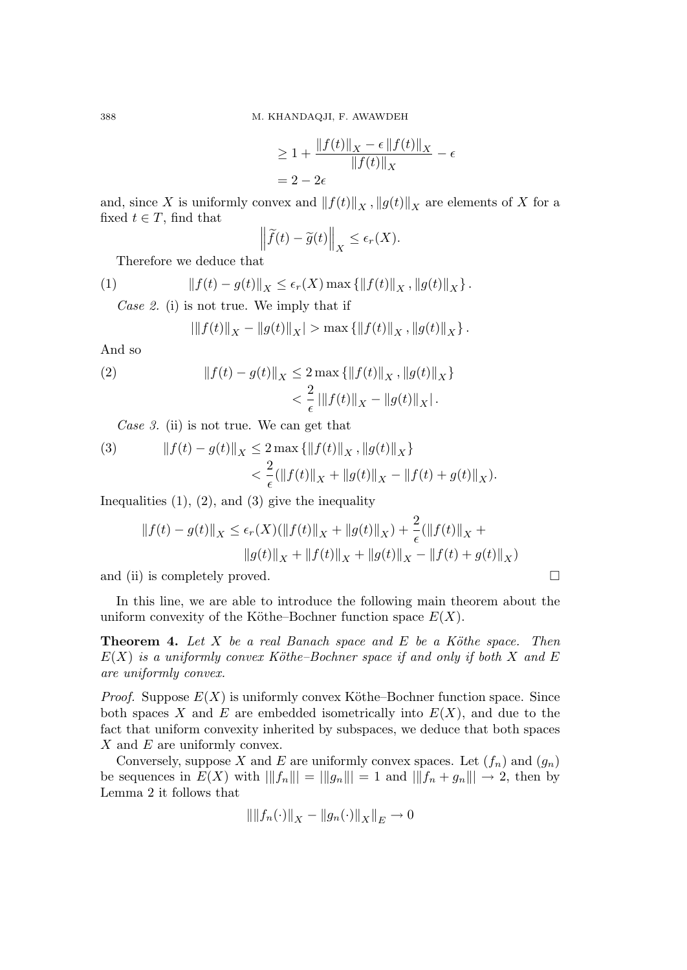$$
\geq 1 + \frac{\|f(t)\|_X - \epsilon \|f(t)\|_X}{\|f(t)\|_X} - \epsilon
$$

$$
= 2 - 2\epsilon
$$

and, since X is uniformly convex and  $||f(t)||_X$ ,  $||g(t)||_X$  are elements of X for a fixed  $t \in T$ , find that ° °

$$
\left\|\widetilde{f}(t)-\widetilde{g}(t)\right\|_{X}\leq\epsilon_{r}(X).
$$

Therefore we deduce that

(1) 
$$
||f(t) - g(t)||_X \le \epsilon_r(X) \max \{||f(t)||_X, ||g(t)||_X\}.
$$

Case 2. (i) is not true. We imply that if

$$
\left| \|f(t)\|_X - \|g(t)\|_X \right| > \max \left\{ \|f(t)\|_X, \|g(t)\|_X \right\}.
$$

And so

(2) 
$$
||f(t) - g(t)||_X \le 2 \max \{ ||f(t)||_X, ||g(t)||_X \} < \frac{2}{\epsilon} |||f(t)||_X - ||g(t)||_X|.
$$

Case 3. (ii) is not true. We can get that

(3) 
$$
||f(t) - g(t)||_X \le 2 \max \{ ||f(t)||_X, ||g(t)||_X \} < \frac{2}{\epsilon} (||f(t)||_X + ||g(t)||_X - ||f(t) + g(t)||_X).
$$

Inequalities  $(1)$ ,  $(2)$ , and  $(3)$  give the inequality

$$
||f(t) - g(t)||_X \le \epsilon_r(X)(||f(t)||_X + ||g(t)||_X) + \frac{2}{\epsilon}(||f(t)||_X + ||g(t)||_X + ||g(t)||_X)
$$
  

$$
||g(t)||_X + ||f(t)||_X + ||g(t)||_X - ||f(t) + g(t)||_X)
$$

and (ii) is completely proved.  $\Box$ 

In this line, we are able to introduce the following main theorem about the uniform convexity of the Köthe–Bochner function space  $E(X)$ .

**Theorem 4.** Let  $X$  be a real Banach space and  $E$  be a Köthe space. Then  $E(X)$  is a uniformly convex Köthe–Bochner space if and only if both X and E are uniformly convex.

*Proof.* Suppose  $E(X)$  is uniformly convex Köthe–Bochner function space. Since both spaces X and E are embedded isometrically into  $E(X)$ , and due to the fact that uniform convexity inherited by subspaces, we deduce that both spaces  $X$  and  $E$  are uniformly convex.

Conversely, suppose X and E are uniformly convex spaces. Let  $(f_n)$  and  $(g_n)$ be sequences in  $E(X)$  with  $||f_n|| = ||g_n||| = 1$  and  $||f_n + g_n||| \to 2$ , then by Lemma 2 it follows that

$$
\| \|f_n(\cdot)\|_X - \|g_n(\cdot)\|_X\|_E \to 0
$$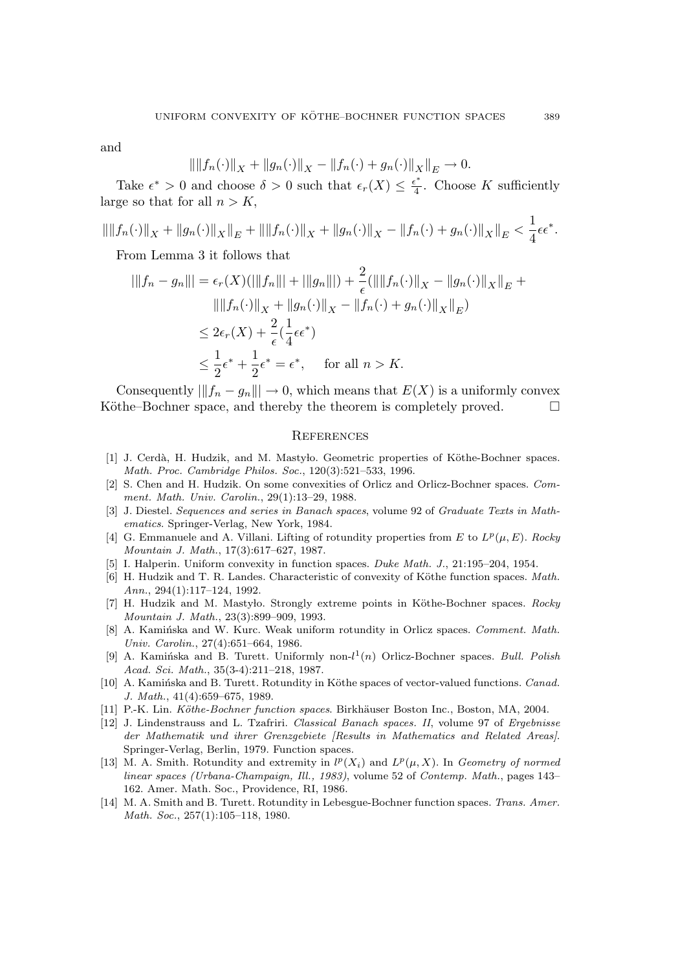and

$$
\|\|f_n(\cdot)\|_X + \|g_n(\cdot)\|_X - \|f_n(\cdot) + g_n(\cdot)\|_X\|_E \to 0.
$$

Take  $\epsilon^* > 0$  and choose  $\delta > 0$  such that  $\epsilon_r(X) \leq \frac{\epsilon^*}{4}$  $\frac{1}{4}$ . Choose K sufficiently large so that for all  $n > K$ ,

$$
\left\| \|f_n(\cdot)\|_X + \|g_n(\cdot)\|_X\right\|_E + \left\| \|f_n(\cdot)\|_X + \|g_n(\cdot)\|_X - \|f_n(\cdot) + g_n(\cdot)\|_X\right\|_E < \frac{1}{4}\epsilon\epsilon^*.
$$

From Lemma 3 it follows that

$$
|\|f_n - g_n\|| = \epsilon_r(X)(\|\|f_n\|| + \|\|g_n\||) + \frac{2}{\epsilon}(\|\|f_n(\cdot)\|_X - \|g_n(\cdot)\|_X\|_E +
$$
  

$$
\|\|f_n(\cdot)\|_X + \|g_n(\cdot)\|_X - \|f_n(\cdot) + g_n(\cdot)\|_X\|_E)
$$
  

$$
\leq 2\epsilon_r(X) + \frac{2}{\epsilon}(\frac{1}{4}\epsilon\epsilon^*)
$$
  

$$
\leq \frac{1}{2}\epsilon^* + \frac{1}{2}\epsilon^* = \epsilon^*, \quad \text{for all } n > K.
$$

Consequently  $||f_n - g_n|| \to 0$ , which means that  $E(X)$  is a uniformly convex Köthe–Bochner space, and thereby the theorem is completely proved.  $\Box$ 

### **REFERENCES**

- [1] J. Cerdà, H. Hudzik, and M. Mastylo. Geometric properties of Köthe-Bochner spaces. Math. Proc. Cambridge Philos. Soc., 120(3):521–533, 1996.
- [2] S. Chen and H. Hudzik. On some convexities of Orlicz and Orlicz-Bochner spaces. Comment. Math. Univ. Carolin., 29(1):13–29, 1988.
- [3] J. Diestel. Sequences and series in Banach spaces, volume 92 of Graduate Texts in Mathematics. Springer-Verlag, New York, 1984.
- [4] G. Emmanuele and A. Villani. Lifting of rotundity properties from E to  $L^p(\mu, E)$ . Rocky Mountain J. Math., 17(3):617–627, 1987.
- [5] I. Halperin. Uniform convexity in function spaces. Duke Math. J., 21:195–204, 1954.
- [6] H. Hudzik and T. R. Landes. Characteristic of convexity of Köthe function spaces. Math. Ann., 294(1):117–124, 1992.
- [7] H. Hudzik and M. Mastyło. Strongly extreme points in Köthe-Bochner spaces. Rocky Mountain J. Math., 23(3):899–909, 1993.
- [8] A. Kamińska and W. Kurc. Weak uniform rotundity in Orlicz spaces. Comment. Math. Univ. Carolin., 27(4):651–664, 1986.
- [9] A. Kamińska and B. Turett. Uniformly non- $l^1(n)$  Orlicz-Bochner spaces. Bull. Polish Acad. Sci. Math., 35(3-4):211–218, 1987.
- [10] A. Kaminska and B. Turett. Rotundity in Köthe spaces of vector-valued functions. Canad. J. Math., 41(4):659–675, 1989.
- [11] P.-K. Lin. Köthe-Bochner function spaces. Birkhäuser Boston Inc., Boston, MA, 2004.
- [12] J. Lindenstrauss and L. Tzafriri. Classical Banach spaces. II, volume 97 of Ergebnisse der Mathematik und ihrer Grenzgebiete [Results in Mathematics and Related Areas]. Springer-Verlag, Berlin, 1979. Function spaces.
- [13] M. A. Smith. Rotundity and extremity in  $l^p(X_i)$  and  $L^p(\mu, X)$ . In Geometry of normed linear spaces (Urbana-Champaign, Ill., 1983), volume 52 of Contemp. Math., pages 143– 162. Amer. Math. Soc., Providence, RI, 1986.
- [14] M. A. Smith and B. Turett. Rotundity in Lebesgue-Bochner function spaces. Trans. Amer. Math. Soc., 257(1):105–118, 1980.